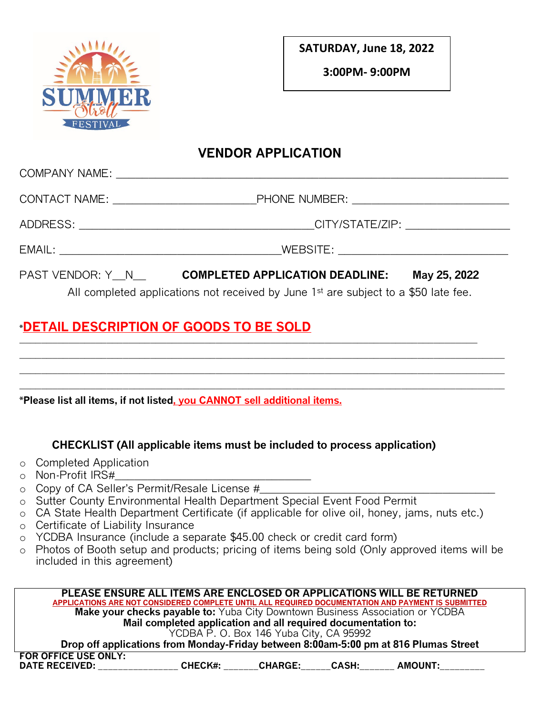

**SATURDAY, June 18, 2022**

**3:00PM- 9:00PM**

## **VENDOR APPLICATION**

|                                                                                                 | PAST VENDOR: Y N <b>COMPLETED APPLICATION DEADLINE:</b> | May 25, 2022 |  |  |
|-------------------------------------------------------------------------------------------------|---------------------------------------------------------|--------------|--|--|
| All completed applications not received by June 1 <sup>st</sup> are subject to a \$50 late fee. |                                                         |              |  |  |

# **\*DETAIL DESCRIPTION OF GOODS TO BE SOLD**

**\*Please list all items, if not listed, you CANNOT sell additional items.**

### **CHECKLIST (All applicable items must be included to process application)**

 $\_$  ,  $\_$  ,  $\_$  ,  $\_$  ,  $\_$  ,  $\_$  ,  $\_$  ,  $\_$  ,  $\_$  ,  $\_$  ,  $\_$  ,  $\_$  ,  $\_$  ,  $\_$  ,  $\_$  ,  $\_$  ,  $\_$  ,  $\_$  ,  $\_$  ,  $\_$  ,  $\_$  ,  $\_$  ,  $\_$  ,  $\_$  ,  $\_$  ,  $\_$  ,  $\_$  ,  $\_$  ,  $\_$  ,  $\_$  ,  $\_$  ,  $\_$  ,  $\_$  ,  $\_$  ,  $\_$  ,  $\_$  ,  $\_$  ,

\_\_\_\_\_\_\_\_\_\_\_\_\_\_\_\_\_\_\_\_\_\_\_\_\_\_\_\_\_\_\_\_\_\_\_\_\_\_\_\_\_\_\_\_\_\_\_\_\_\_\_\_\_\_\_\_\_\_\_\_\_\_\_\_\_\_\_\_\_\_\_\_\_\_\_\_\_\_\_\_\_\_\_\_\_\_\_\_\_  $\_$  ,  $\_$  ,  $\_$  ,  $\_$  ,  $\_$  ,  $\_$  ,  $\_$  ,  $\_$  ,  $\_$  ,  $\_$  ,  $\_$  ,  $\_$  ,  $\_$  ,  $\_$  ,  $\_$  ,  $\_$  ,  $\_$  ,  $\_$  ,  $\_$  ,  $\_$  ,  $\_$  ,  $\_$  ,  $\_$  ,  $\_$  ,  $\_$  ,  $\_$  ,  $\_$  ,  $\_$  ,  $\_$  ,  $\_$  ,  $\_$  ,  $\_$  ,  $\_$  ,  $\_$  ,  $\_$  ,  $\_$  ,  $\_$  ,  $\_$  ,  $\_$  ,  $\_$  ,  $\_$  ,  $\_$  ,  $\_$  ,  $\_$  ,  $\_$  ,  $\_$  ,  $\_$  ,  $\_$  ,  $\_$  ,  $\_$  ,  $\_$  ,  $\_$  ,  $\_$  ,  $\_$  ,  $\_$  ,  $\_$  ,  $\_$  ,  $\_$  ,  $\_$  ,  $\_$  ,  $\_$  ,  $\_$  ,  $\_$  ,  $\_$  ,  $\_$  ,  $\_$  ,  $\_$  ,  $\_$  ,  $\_$  ,  $\_$  ,  $\_$  ,  $\_$  ,  $\_$  ,  $\_$  ,

- o Completed Application
- $\circ$  Non-Profit IRS#
- o Copy of CA Seller's Permit/Resale License #
- o Sutter County Environmental Health Department Special Event Food Permit
- o CA State Health Department Certificate (if applicable for olive oil, honey, jams, nuts etc.)
- o Certificate of Liability Insurance
- o YCDBA Insurance (include a separate \$45.00 check or credit card form)
- o Photos of Booth setup and products; pricing of items being sold (Only approved items will be included in this agreement)

| PLEASE ENSURE ALL ITEMS ARE ENCLOSED OR APPLICATIONS WILL BE RETURNED                              |                |                                         |              |                |  |
|----------------------------------------------------------------------------------------------------|----------------|-----------------------------------------|--------------|----------------|--|
| APPLICATIONS ARE NOT CONSIDERED COMPLETE UNTIL ALL REQUIRED DOCUMENTATION AND PAYMENT IS SUBMITTED |                |                                         |              |                |  |
| <b>Make your checks payable to:</b> Yuba City Downtown Business Association or YCDBA               |                |                                         |              |                |  |
| Mail completed application and all required documentation to:                                      |                |                                         |              |                |  |
|                                                                                                    |                | YCDBA P. O. Box 146 Yuba City, CA 95992 |              |                |  |
| Drop off applications from Monday-Friday between 8:00am-5:00 pm at 816 Plumas Street               |                |                                         |              |                |  |
| <b>FOR OFFICE USE ONLY:</b><br><b>DATE RECEIVED:</b>                                               | <b>CHECK#:</b> | <b>CHARGE:</b>                          | <b>CASH:</b> | <b>AMOUNT:</b> |  |
|                                                                                                    |                |                                         |              |                |  |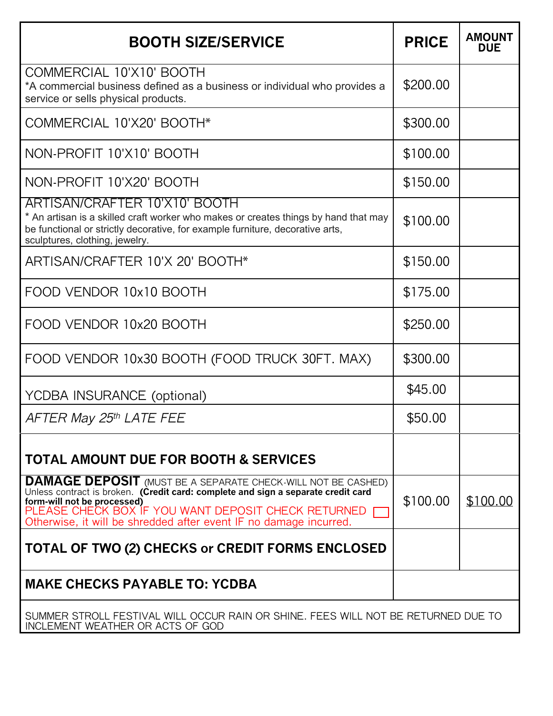| <b>BOOTH SIZE/SERVICE</b>                                                                                                                                                                                                                                                                                             | <b>PRICE</b> | <b>AMOUNT</b><br><b>DUE</b> |
|-----------------------------------------------------------------------------------------------------------------------------------------------------------------------------------------------------------------------------------------------------------------------------------------------------------------------|--------------|-----------------------------|
| COMMERCIAL 10'X10' BOOTH<br>*A commercial business defined as a business or individual who provides a<br>service or sells physical products.                                                                                                                                                                          | \$200.00     |                             |
| COMMERCIAL 10'X20' BOOTH*                                                                                                                                                                                                                                                                                             | \$300.00     |                             |
| NON-PROFIT 10'X10' BOOTH                                                                                                                                                                                                                                                                                              | \$100.00     |                             |
| NON-PROFIT 10'X20' BOOTH                                                                                                                                                                                                                                                                                              | \$150.00     |                             |
| ARTISAN/CRAFTER 10'X10' BOOTH<br>* An artisan is a skilled craft worker who makes or creates things by hand that may<br>be functional or strictly decorative, for example furniture, decorative arts,<br>sculptures, clothing, jewelry.                                                                               | \$100.00     |                             |
| ARTISAN/CRAFTER 10'X 20' BOOTH*                                                                                                                                                                                                                                                                                       | \$150.00     |                             |
| FOOD VENDOR 10x10 BOOTH                                                                                                                                                                                                                                                                                               | \$175.00     |                             |
| FOOD VENDOR 10x20 BOOTH                                                                                                                                                                                                                                                                                               | \$250.00     |                             |
| FOOD VENDOR 10x30 BOOTH (FOOD TRUCK 30FT. MAX)                                                                                                                                                                                                                                                                        | \$300.00     |                             |
| YCDBA INSURANCE (optional)                                                                                                                                                                                                                                                                                            | \$45.00      |                             |
| AFTER May 25th LATE FEE                                                                                                                                                                                                                                                                                               | \$50.00      |                             |
| <b>TOTAL AMOUNT DUE FOR BOOTH &amp; SERVICES</b>                                                                                                                                                                                                                                                                      |              |                             |
| <b>DAMAGE DEPOSIT</b> (MUST BE A SEPARATE CHECK-WILL NOT BE CASHED)<br>Unless contract is broken. (Credit card: complete and sign a separate credit card<br>form-will not be processed)<br>PLEASE CHECK BOX IF YOU WANT DEPOSIT CHECK RETURNED [<br>Otherwise, it will be shredded after event IF no damage incurred. | \$100.00     | \$100.00                    |
| TOTAL OF TWO (2) CHECKS or CREDIT FORMS ENCLOSED                                                                                                                                                                                                                                                                      |              |                             |
| <b>MAKE CHECKS PAYABLE TO: YCDBA</b>                                                                                                                                                                                                                                                                                  |              |                             |
| SUMMER STROLL FESTIVAL WILL OCCUR RAIN OR SHINE. FEES WILL NOT BE RETURNED DUE TO<br>INCLEMENT WEATHER OR ACTS OF GOD                                                                                                                                                                                                 |              |                             |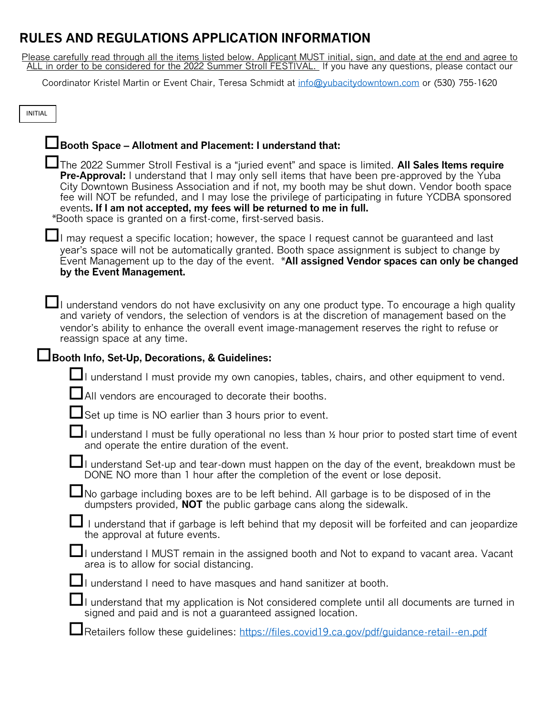# **RULES AND REGULATIONS APPLICATION INFORMATION**

Please carefully read through all the items listed below. Applicant MUST initial, sign, and date at the end and agree to ALL in order to be considered for the 2022 Summer Stroll FESTIVAL. If you have any questions, please contact our

Coordinator Kristel Martin or Event Chair, Teresa Schmidt at [info@yubacitydowntown.com](mailto:info@yubacitydowntown.com) or (530) 755-1620

| <b>INITIAL</b>                                                                                                                                                                                                                                                                                                                                                                                                                                                                                                                                          |
|---------------------------------------------------------------------------------------------------------------------------------------------------------------------------------------------------------------------------------------------------------------------------------------------------------------------------------------------------------------------------------------------------------------------------------------------------------------------------------------------------------------------------------------------------------|
| LBooth Space - Allotment and Placement: I understand that:                                                                                                                                                                                                                                                                                                                                                                                                                                                                                              |
| The 2022 Summer Stroll Festival is a "juried event" and space is limited. All Sales Items require<br><b>Pre-Approval:</b> I understand that I may only sell items that have been pre-approved by the Yuba<br>City Downtown Business Association and if not, my booth may be shut down. Vendor booth space<br>fee will NOT be refunded, and I may lose the privilege of participating in future YCDBA sponsored<br>events. If I am not accepted, my fees will be returned to me in full.<br>*Booth space is granted on a first-come, first-served basis. |
| $\blacksquare$ I may request a specific location; however, the space I request cannot be guaranteed and last<br>year's space will not be automatically granted. Booth space assignment is subject to change by<br>Event Management up to the day of the event. *All assigned Vendor spaces can only be changed<br>by the Event Management.                                                                                                                                                                                                              |
| $\blacksquare$ I understand vendors do not have exclusivity on any one product type. To encourage a high quality<br>and variety of vendors, the selection of vendors is at the discretion of management based on the<br>vendor's ability to enhance the overall event image-management reserves the right to refuse or<br>reassign space at any time.                                                                                                                                                                                                   |
| Booth Info, Set-Up, Decorations, & Guidelines:                                                                                                                                                                                                                                                                                                                                                                                                                                                                                                          |
| I understand I must provide my own canopies, tables, chairs, and other equipment to vend.                                                                                                                                                                                                                                                                                                                                                                                                                                                               |
| LAII vendors are encouraged to decorate their booths.                                                                                                                                                                                                                                                                                                                                                                                                                                                                                                   |
| Set up time is NO earlier than 3 hours prior to event.                                                                                                                                                                                                                                                                                                                                                                                                                                                                                                  |
| I understand I must be fully operational no less than % hour prior to posted start time of event<br>and operate the entire duration of the event.                                                                                                                                                                                                                                                                                                                                                                                                       |
| I understand Set-up and tear-down must happen on the day of the event, breakdown must be<br>DONE NO more than 1 hour after the completion of the event or lose deposit.                                                                                                                                                                                                                                                                                                                                                                                 |
| $\blacksquare$ No garbage including boxes are to be left behind. All garbage is to be disposed of in the<br>dumpsters provided, <b>NOT</b> the public garbage cans along the sidewalk.                                                                                                                                                                                                                                                                                                                                                                  |
| I understand that if garbage is left behind that my deposit will be forfeited and can jeopardize<br>the approval at future events.                                                                                                                                                                                                                                                                                                                                                                                                                      |
| I understand I MUST remain in the assigned booth and Not to expand to vacant area. Vacant<br>area is to allow for social distancing.                                                                                                                                                                                                                                                                                                                                                                                                                    |
| I understand I need to have masques and hand sanitizer at booth.                                                                                                                                                                                                                                                                                                                                                                                                                                                                                        |
| $\Box$ I understand that my application is Not considered complete until all documents are turned in<br>signed and paid and is not a quaranteed assigned location.                                                                                                                                                                                                                                                                                                                                                                                      |
| Retailers follow these guidelines: https://files.covid19.ca.gov/pdf/guidance-retail--en.pdf                                                                                                                                                                                                                                                                                                                                                                                                                                                             |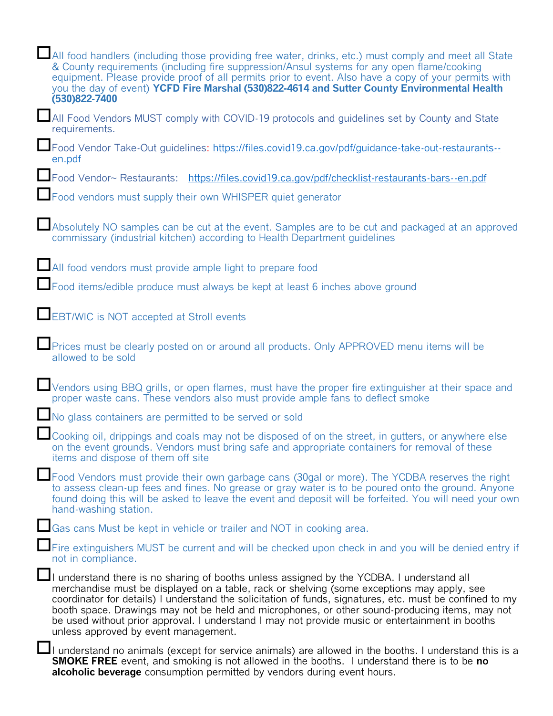| All food handlers (including those providing free water, drinks, etc.) must comply and meet all State<br>& County requirements (including fire suppression/Ansul systems for any open flame/cooking<br>equipment. Please provide proof of all permits prior to event. Also have a copy of your permits with<br>you the day of event) YCFD Fire Marshal (530)822-4614 and Sutter County Environmental Health<br>(530)822-7400                                                                                                                      |
|---------------------------------------------------------------------------------------------------------------------------------------------------------------------------------------------------------------------------------------------------------------------------------------------------------------------------------------------------------------------------------------------------------------------------------------------------------------------------------------------------------------------------------------------------|
| All Food Vendors MUST comply with COVID-19 protocols and guidelines set by County and State<br>requirements.                                                                                                                                                                                                                                                                                                                                                                                                                                      |
| Food Vendor Take-Out guidelines: https://files.covid19.ca.gov/pdf/guidance-take-out-restaurants--<br>en.pdf                                                                                                                                                                                                                                                                                                                                                                                                                                       |
| Food Vendor~ Restaurants: https://files.covid19.ca.gov/pdf/checklist-restaurants-bars--en.pdf                                                                                                                                                                                                                                                                                                                                                                                                                                                     |
| Food vendors must supply their own WHISPER quiet generator                                                                                                                                                                                                                                                                                                                                                                                                                                                                                        |
| Absolutely NO samples can be cut at the event. Samples are to be cut and packaged at an approved<br>commissary (industrial kitchen) according to Health Department guidelines                                                                                                                                                                                                                                                                                                                                                                     |
| All food vendors must provide ample light to prepare food                                                                                                                                                                                                                                                                                                                                                                                                                                                                                         |
| Food items/edible produce must always be kept at least 6 inches above ground                                                                                                                                                                                                                                                                                                                                                                                                                                                                      |
| EBT/WIC is NOT accepted at Stroll events                                                                                                                                                                                                                                                                                                                                                                                                                                                                                                          |
| Prices must be clearly posted on or around all products. Only APPROVED menu items will be<br>allowed to be sold                                                                                                                                                                                                                                                                                                                                                                                                                                   |
| Vendors using BBQ grills, or open flames, must have the proper fire extinguisher at their space and<br>proper waste cans. These vendors also must provide ample fans to deflect smoke                                                                                                                                                                                                                                                                                                                                                             |
| No glass containers are permitted to be served or sold                                                                                                                                                                                                                                                                                                                                                                                                                                                                                            |
| Cooking oil, drippings and coals may not be disposed of on the street, in gutters, or anywhere else<br>on the event grounds. Vendors must bring safe and appropriate containers for removal of these<br>items and dispose of them off site                                                                                                                                                                                                                                                                                                        |
| Food Vendors must provide their own garbage cans (30gal or more). The YCDBA reserves the right<br>to assess clean-up fees and fines. No grease or gray water is to be poured onto the ground. Anyone<br>found doing this will be asked to leave the event and deposit will be forfeited. You will need your own<br>hand-washing station.                                                                                                                                                                                                          |
| Gas cans Must be kept in vehicle or trailer and NOT in cooking area.                                                                                                                                                                                                                                                                                                                                                                                                                                                                              |
| Fire extinguishers MUST be current and will be checked upon check in and you will be denied entry if<br>not in compliance.                                                                                                                                                                                                                                                                                                                                                                                                                        |
| II understand there is no sharing of booths unless assigned by the YCDBA. I understand all<br>merchandise must be displayed on a table, rack or shelving (some exceptions may apply, see<br>coordinator for details) I understand the solicitation of funds, signatures, etc. must be confined to my<br>booth space. Drawings may not be held and microphones, or other sound-producing items, may not<br>be used without prior approval. I understand I may not provide music or entertainment in booths<br>unless approved by event management. |
| $\Box$ I understand no animals (except for service animals) are allowed in the booths. I understand this is a<br><b>SMOKE FREE</b> event, and smoking is not allowed in the booths. I understand there is to be no<br>alcoholic beverage consumption permitted by vendors during event hours.                                                                                                                                                                                                                                                     |